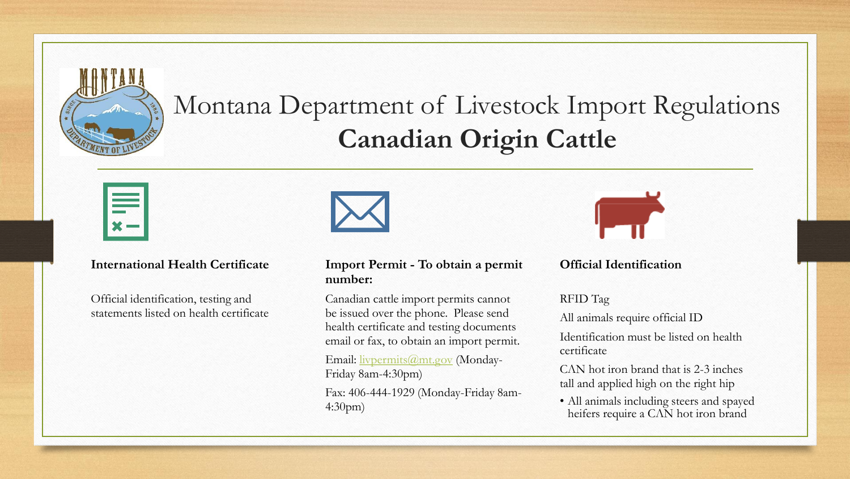

# Montana Department of Livestock Import Regulations **Canadian Origin Cattle**

#### **International Health Certificate**

Official identification, testing and statements listed on health certificate



#### **Import Permit - To obtain a permit number:**

Canadian cattle import permits cannot be issued over the phone. Please send health certificate and testing documents email or fax, to obtain an import permit.

Email: [livpermits@mt.gov](mailto:livpermits@mt.gov) (Monday-Friday 8am-4:30pm)

Fax: 406-444-1929 (Monday-Friday 8am-4:30pm)



#### **Official Identification**

RFID Tag

All animals require official ID

Identification must be listed on health certificate

CΛN hot iron brand that is 2-3 inches tall and applied high on the right hip

• All animals including steers and spayed heifers require a CΛN hot iron brand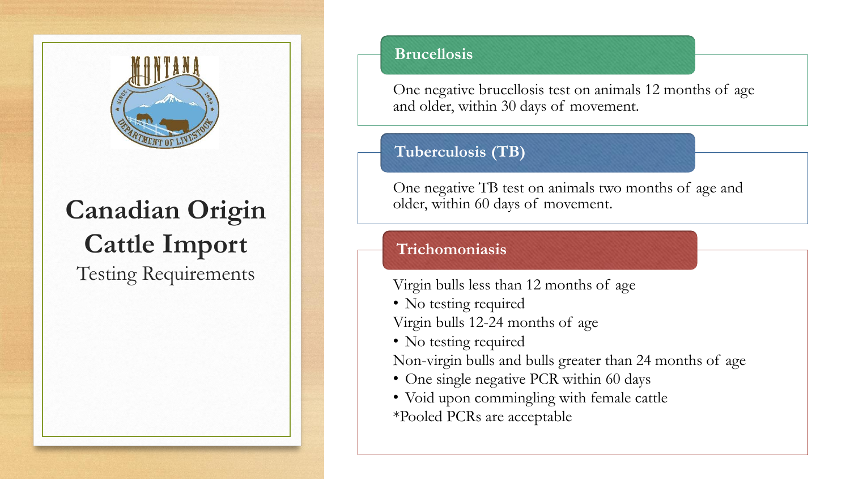

# **Canadian Origin Cattle Import**

Testing Requirements

### **Brucellosis**

One negative brucellosis test on animals 12 months of age and older, within 30 days of movement.

## **Tuberculosis (TB)**

One negative TB test on animals two months of age and older, within 60 days of movement.

## **Trichomoniasis**

Virgin bulls less than 12 months of age

• No testing required

Virgin bulls 12-24 months of age

• No testing required

Non-virgin bulls and bulls greater than 24 months of age

- One single negative PCR within 60 days
- Void upon commingling with female cattle \*Pooled PCRs are acceptable